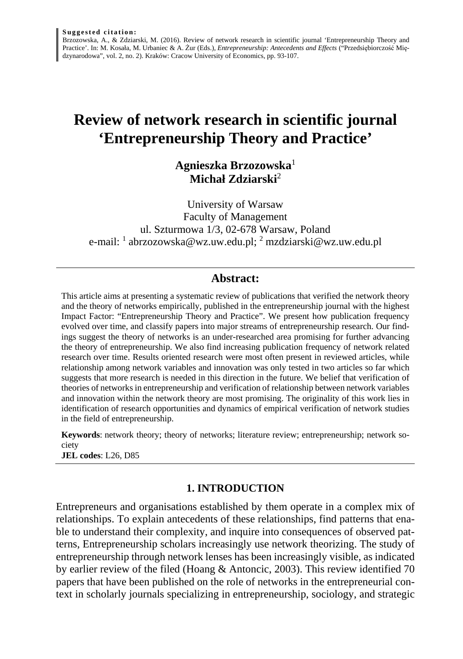Brzozowska, A., & Zdziarski, M. (2016). Review of network research in scientific journal 'Entrepreneurship Theory and Practice'. In: M. Kosała, M. Urbaniec & A. Żur (Eds.), *Entrepreneurship: Antecedents and Effects* ("Przedsiębiorczość Międzynarodowa", vol. 2, no. 2). Kraków: Cracow University of Economics, pp. 93-107.

# **Review of network research in scientific journal 'Entrepreneurship Theory and Practice'**

# **Agnieszka Brzozowska**<sup>1</sup> **Michał Zdziarski**<sup>2</sup>

University of Warsaw Faculty of Management ul. Szturmowa 1/3, 02-678 Warsaw, Poland e-mail: <sup>1</sup> abrzozowska@wz.uw.edu.pl; <sup>2</sup> mzdziarski@wz.uw.edu.pl

## **Abstract:**

This article aims at presenting a systematic review of publications that verified the network theory and the theory of networks empirically, published in the entrepreneurship journal with the highest Impact Factor: "Entrepreneurship Theory and Practice". We present how publication frequency evolved over time, and classify papers into major streams of entrepreneurship research. Our findings suggest the theory of networks is an under-researched area promising for further advancing the theory of entrepreneurship. We also find increasing publication frequency of network related research over time. Results oriented research were most often present in reviewed articles, while relationship among network variables and innovation was only tested in two articles so far which suggests that more research is needed in this direction in the future. We belief that verification of theories of networks in entrepreneurship and verification of relationship between network variables and innovation within the network theory are most promising. The originality of this work lies in identification of research opportunities and dynamics of empirical verification of network studies in the field of entrepreneurship.

**Keywords**: network theory; theory of networks; literature review; entrepreneurship; network society

**JEL codes**: L26, D85

# **1. INTRODUCTION**

Entrepreneurs and organisations established by them operate in a complex mix of relationships. To explain antecedents of these relationships, find patterns that enable to understand their complexity, and inquire into consequences of observed patterns, Entrepreneurship scholars increasingly use network theorizing. The study of entrepreneurship through network lenses has been increasingly visible, as indicated by earlier review of the filed (Hoang & Antoncic, 2003). This review identified 70 papers that have been published on the role of networks in the entrepreneurial context in scholarly journals specializing in entrepreneurship, sociology, and strategic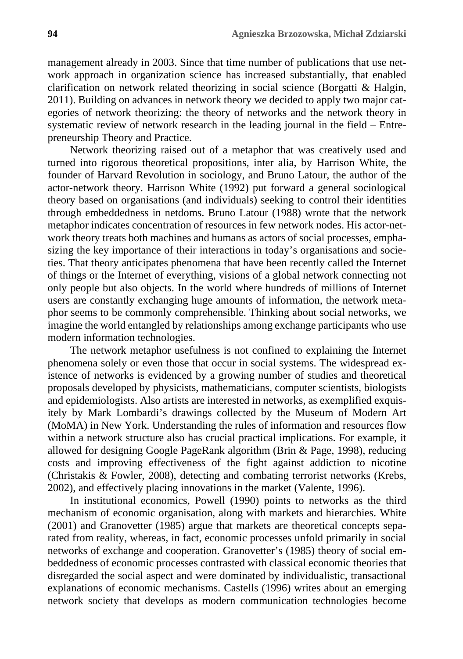management already in 2003. Since that time number of publications that use network approach in organization science has increased substantially, that enabled clarification on network related theorizing in social science (Borgatti & Halgin, 2011). Building on advances in network theory we decided to apply two major categories of network theorizing: the theory of networks and the network theory in systematic review of network research in the leading journal in the field – Entrepreneurship Theory and Practice.

Network theorizing raised out of a metaphor that was creatively used and turned into rigorous theoretical propositions, inter alia, by Harrison White, the founder of Harvard Revolution in sociology, and Bruno Latour, the author of the actor-network theory. Harrison White (1992) put forward a general sociological theory based on organisations (and individuals) seeking to control their identities through embeddedness in netdoms. Bruno Latour (1988) wrote that the network metaphor indicates concentration of resources in few network nodes. His actor-network theory treats both machines and humans as actors of social processes, emphasizing the key importance of their interactions in today's organisations and societies. That theory anticipates phenomena that have been recently called the Internet of things or the Internet of everything, visions of a global network connecting not only people but also objects. In the world where hundreds of millions of Internet users are constantly exchanging huge amounts of information, the network metaphor seems to be commonly comprehensible. Thinking about social networks, we imagine the world entangled by relationships among exchange participants who use modern information technologies.

The network metaphor usefulness is not confined to explaining the Internet phenomena solely or even those that occur in social systems. The widespread existence of networks is evidenced by a growing number of studies and theoretical proposals developed by physicists, mathematicians, computer scientists, biologists and epidemiologists. Also artists are interested in networks, as exemplified exquisitely by Mark Lombardi's drawings collected by the Museum of Modern Art (MoMA) in New York. Understanding the rules of information and resources flow within a network structure also has crucial practical implications. For example, it allowed for designing Google PageRank algorithm (Brin & Page, 1998), reducing costs and improving effectiveness of the fight against addiction to nicotine (Christakis & Fowler, 2008), detecting and combating terrorist networks (Krebs, 2002), and effectively placing innovations in the market (Valente, 1996).

In institutional economics, Powell (1990) points to networks as the third mechanism of economic organisation, along with markets and hierarchies. White (2001) and Granovetter (1985) argue that markets are theoretical concepts separated from reality, whereas, in fact, economic processes unfold primarily in social networks of exchange and cooperation. Granovetter's (1985) theory of social embeddedness of economic processes contrasted with classical economic theories that disregarded the social aspect and were dominated by individualistic, transactional explanations of economic mechanisms. Castells (1996) writes about an emerging network society that develops as modern communication technologies become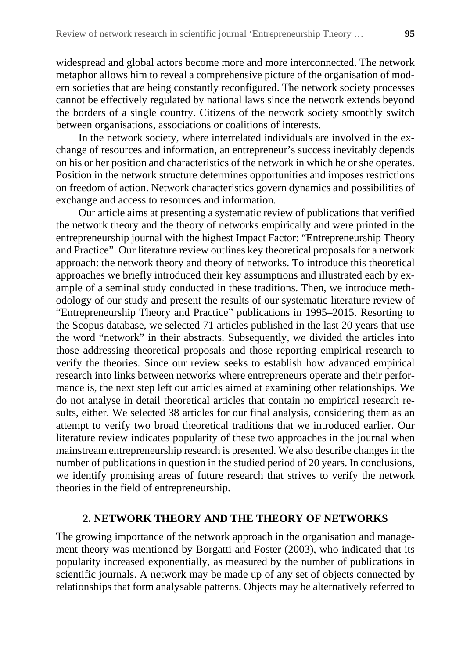widespread and global actors become more and more interconnected. The network metaphor allows him to reveal a comprehensive picture of the organisation of modern societies that are being constantly reconfigured. The network society processes cannot be effectively regulated by national laws since the network extends beyond the borders of a single country. Citizens of the network society smoothly switch between organisations, associations or coalitions of interests.

In the network society, where interrelated individuals are involved in the exchange of resources and information, an entrepreneur's success inevitably depends on his or her position and characteristics of the network in which he or she operates. Position in the network structure determines opportunities and imposes restrictions on freedom of action. Network characteristics govern dynamics and possibilities of exchange and access to resources and information.

Our article aims at presenting a systematic review of publications that verified the network theory and the theory of networks empirically and were printed in the entrepreneurship journal with the highest Impact Factor: "Entrepreneurship Theory and Practice". Our literature review outlines key theoretical proposals for a network approach: the network theory and theory of networks. To introduce this theoretical approaches we briefly introduced their key assumptions and illustrated each by example of a seminal study conducted in these traditions. Then, we introduce methodology of our study and present the results of our systematic literature review of "Entrepreneurship Theory and Practice" publications in 1995–2015. Resorting to the Scopus database, we selected 71 articles published in the last 20 years that use the word "network" in their abstracts. Subsequently, we divided the articles into those addressing theoretical proposals and those reporting empirical research to verify the theories. Since our review seeks to establish how advanced empirical research into links between networks where entrepreneurs operate and their performance is, the next step left out articles aimed at examining other relationships. We do not analyse in detail theoretical articles that contain no empirical research results, either. We selected 38 articles for our final analysis, considering them as an attempt to verify two broad theoretical traditions that we introduced earlier. Our literature review indicates popularity of these two approaches in the journal when mainstream entrepreneurship research is presented. We also describe changes in the number of publications in question in the studied period of 20 years. In conclusions, we identify promising areas of future research that strives to verify the network theories in the field of entrepreneurship.

## **2. NETWORK THEORY AND THE THEORY OF NETWORKS**

The growing importance of the network approach in the organisation and management theory was mentioned by Borgatti and Foster (2003), who indicated that its popularity increased exponentially, as measured by the number of publications in scientific journals. A network may be made up of any set of objects connected by relationships that form analysable patterns. Objects may be alternatively referred to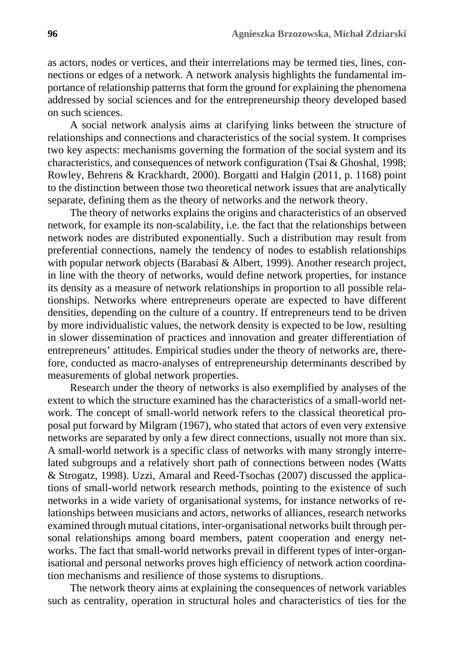as actors, nodes or vertices, and their interrelations may be termed ties, lines, connections or edges of a network. A network analysis highlights the fundamental importance of relationship patterns that form the ground for explaining the phenomena addressed by social sciences and for the entrepreneurship theory developed based on such sciences.

A social network analysis aims at clarifying links between the structure of relationships and connections and characteristics of the social system. It comprises two key aspects: mechanisms governing the formation of the social system and its characteristics, and consequences of network configuration (Tsai & Ghoshal, 1998; Rowley, Behrens & Krackhardt, 2000). Borgatti and Halgin (2011, p. 1168) point to the distinction between those two theoretical network issues that are analytically separate, defining them as the theory of networks and the network theory.

The theory of networks explains the origins and characteristics of an observed network, for example its non-scalability, i.e. the fact that the relationships between network nodes are distributed exponentially. Such a distribution may result from preferential connections, namely the tendency of nodes to establish relationships with popular network objects (Barabasi & Albert, 1999). Another research project, in line with the theory of networks, would define network properties, for instance its density as a measure of network relationships in proportion to all possible relationships. Networks where entrepreneurs operate are expected to have different densities, depending on the culture of a country. If entrepreneurs tend to be driven by more individualistic values, the network density is expected to be low, resulting in slower dissemination of practices and innovation and greater differentiation of entrepreneurs' attitudes. Empirical studies under the theory of networks are, therefore, conducted as macro-analyses of entrepreneurship determinants described by measurements of global network properties.

Research under the theory of networks is also exemplified by analyses of the extent to which the structure examined has the characteristics of a small-world network. The concept of small-world network refers to the classical theoretical proposal put forward by Milgram (1967), who stated that actors of even very extensive networks are separated by only a few direct connections, usually not more than six. A small-world network is a specific class of networks with many strongly interrelated subgroups and a relatively short path of connections between nodes (Watts & Strogatz, 1998). Uzzi, Amaral and Reed-Tsochas (2007) discussed the applications of small-world network research methods, pointing to the existence of such networks in a wide variety of organisational systems, for instance networks of relationships between musicians and actors, networks of alliances, research networks examined through mutual citations, inter-organisational networks built through personal relationships among board members, patent cooperation and energy networks. The fact that small-world networks prevail in different types of inter-organisational and personal networks proves high efficiency of network action coordination mechanisms and resilience of those systems to disruptions.

The network theory aims at explaining the consequences of network variables such as centrality, operation in structural holes and characteristics of ties for the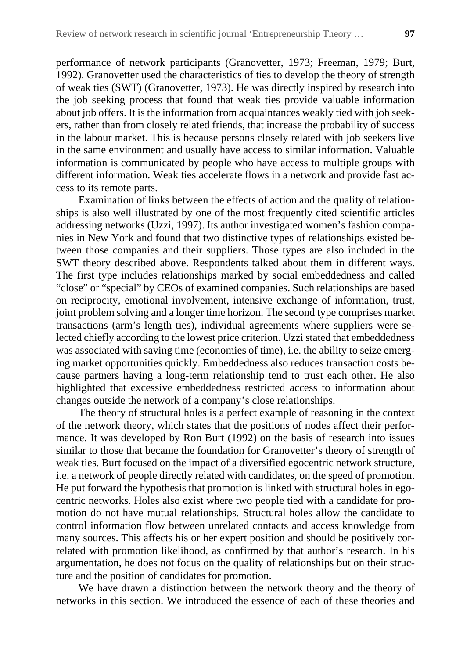performance of network participants (Granovetter, 1973; Freeman, 1979; Burt, 1992). Granovetter used the characteristics of ties to develop the theory of strength of weak ties (SWT) (Granovetter, 1973). He was directly inspired by research into the job seeking process that found that weak ties provide valuable information about job offers. It is the information from acquaintances weakly tied with job seekers, rather than from closely related friends, that increase the probability of success in the labour market. This is because persons closely related with job seekers live in the same environment and usually have access to similar information. Valuable information is communicated by people who have access to multiple groups with different information. Weak ties accelerate flows in a network and provide fast access to its remote parts.

Examination of links between the effects of action and the quality of relationships is also well illustrated by one of the most frequently cited scientific articles addressing networks (Uzzi, 1997). Its author investigated women's fashion companies in New York and found that two distinctive types of relationships existed between those companies and their suppliers. Those types are also included in the SWT theory described above. Respondents talked about them in different ways. The first type includes relationships marked by social embeddedness and called "close" or "special" by CEOs of examined companies. Such relationships are based on reciprocity, emotional involvement, intensive exchange of information, trust, joint problem solving and a longer time horizon. The second type comprises market transactions (arm's length ties), individual agreements where suppliers were selected chiefly according to the lowest price criterion. Uzzi stated that embeddedness was associated with saving time (economies of time), i.e. the ability to seize emerging market opportunities quickly. Embeddedness also reduces transaction costs because partners having a long-term relationship tend to trust each other. He also highlighted that excessive embeddedness restricted access to information about changes outside the network of a company's close relationships.

The theory of structural holes is a perfect example of reasoning in the context of the network theory, which states that the positions of nodes affect their performance. It was developed by Ron Burt (1992) on the basis of research into issues similar to those that became the foundation for Granovetter's theory of strength of weak ties. Burt focused on the impact of a diversified egocentric network structure, i.e. a network of people directly related with candidates, on the speed of promotion. He put forward the hypothesis that promotion is linked with structural holes in egocentric networks. Holes also exist where two people tied with a candidate for promotion do not have mutual relationships. Structural holes allow the candidate to control information flow between unrelated contacts and access knowledge from many sources. This affects his or her expert position and should be positively correlated with promotion likelihood, as confirmed by that author's research. In his argumentation, he does not focus on the quality of relationships but on their structure and the position of candidates for promotion.

We have drawn a distinction between the network theory and the theory of networks in this section. We introduced the essence of each of these theories and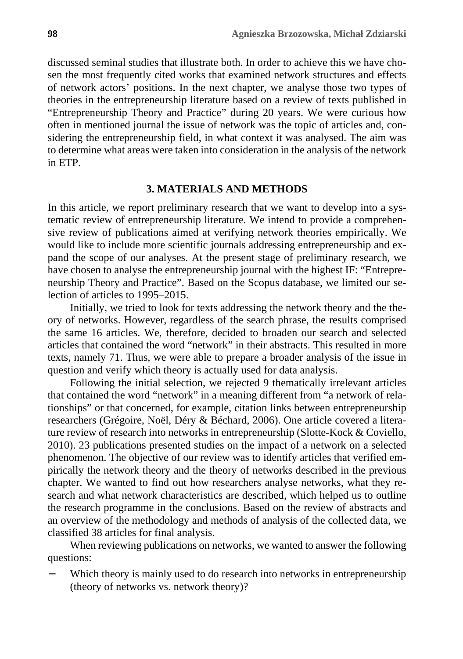discussed seminal studies that illustrate both. In order to achieve this we have chosen the most frequently cited works that examined network structures and effects of network actors' positions. In the next chapter, we analyse those two types of theories in the entrepreneurship literature based on a review of texts published in "Entrepreneurship Theory and Practice" during 20 years. We were curious how often in mentioned journal the issue of network was the topic of articles and, considering the entrepreneurship field, in what context it was analysed. The aim was to determine what areas were taken into consideration in the analysis of the network in ETP.

#### **3. MATERIALS AND METHODS**

In this article, we report preliminary research that we want to develop into a systematic review of entrepreneurship literature. We intend to provide a comprehensive review of publications aimed at verifying network theories empirically. We would like to include more scientific journals addressing entrepreneurship and expand the scope of our analyses. At the present stage of preliminary research, we have chosen to analyse the entrepreneurship journal with the highest IF: "Entrepreneurship Theory and Practice". Based on the Scopus database, we limited our selection of articles to 1995–2015.

Initially, we tried to look for texts addressing the network theory and the theory of networks. However, regardless of the search phrase, the results comprised the same 16 articles. We, therefore, decided to broaden our search and selected articles that contained the word "network" in their abstracts. This resulted in more texts, namely 71. Thus, we were able to prepare a broader analysis of the issue in question and verify which theory is actually used for data analysis.

Following the initial selection, we rejected 9 thematically irrelevant articles that contained the word "network" in a meaning different from "a network of relationships" or that concerned, for example, citation links between entrepreneurship researchers (Grégoire, Noël, Déry & Béchard, 2006). One article covered a literature review of research into networks in entrepreneurship (Slotte-Kock & Coviello, 2010). 23 publications presented studies on the impact of a network on a selected phenomenon. The objective of our review was to identify articles that verified empirically the network theory and the theory of networks described in the previous chapter. We wanted to find out how researchers analyse networks, what they research and what network characteristics are described, which helped us to outline the research programme in the conclusions. Based on the review of abstracts and an overview of the methodology and methods of analysis of the collected data, we classified 38 articles for final analysis.

When reviewing publications on networks, we wanted to answer the following questions:

Which theory is mainly used to do research into networks in entrepreneurship (theory of networks vs. network theory)?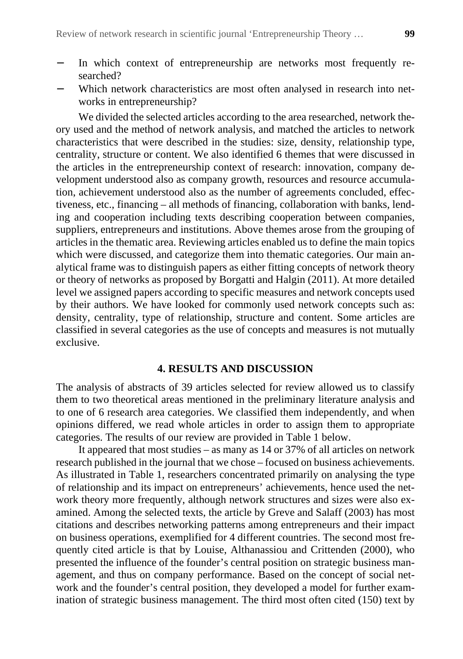- − In which context of entrepreneurship are networks most frequently researched?
- − Which network characteristics are most often analysed in research into networks in entrepreneurship?

We divided the selected articles according to the area researched, network theory used and the method of network analysis, and matched the articles to network characteristics that were described in the studies: size, density, relationship type, centrality, structure or content. We also identified 6 themes that were discussed in the articles in the entrepreneurship context of research: innovation, company development understood also as company growth, resources and resource accumulation, achievement understood also as the number of agreements concluded, effectiveness, etc., financing – all methods of financing, collaboration with banks, lending and cooperation including texts describing cooperation between companies, suppliers, entrepreneurs and institutions. Above themes arose from the grouping of articles in the thematic area. Reviewing articles enabled us to define the main topics which were discussed, and categorize them into thematic categories. Our main analytical frame was to distinguish papers as either fitting concepts of network theory or theory of networks as proposed by Borgatti and Halgin (2011). At more detailed level we assigned papers according to specific measures and network concepts used by their authors. We have looked for commonly used network concepts such as: density, centrality, type of relationship, structure and content. Some articles are classified in several categories as the use of concepts and measures is not mutually exclusive.

#### **4. RESULTS AND DISCUSSION**

The analysis of abstracts of 39 articles selected for review allowed us to classify them to two theoretical areas mentioned in the preliminary literature analysis and to one of 6 research area categories. We classified them independently, and when opinions differed, we read whole articles in order to assign them to appropriate categories. The results of our review are provided in Table 1 below.

It appeared that most studies – as many as 14 or 37% of all articles on network research published in the journal that we chose – focused on business achievements. As illustrated in Table 1, researchers concentrated primarily on analysing the type of relationship and its impact on entrepreneurs' achievements, hence used the network theory more frequently, although network structures and sizes were also examined. Among the selected texts, the article by Greve and Salaff (2003) has most citations and describes networking patterns among entrepreneurs and their impact on business operations, exemplified for 4 different countries. The second most frequently cited article is that by Louise, Althanassiou and Crittenden (2000), who presented the influence of the founder's central position on strategic business management, and thus on company performance. Based on the concept of social network and the founder's central position, they developed a model for further examination of strategic business management. The third most often cited (150) text by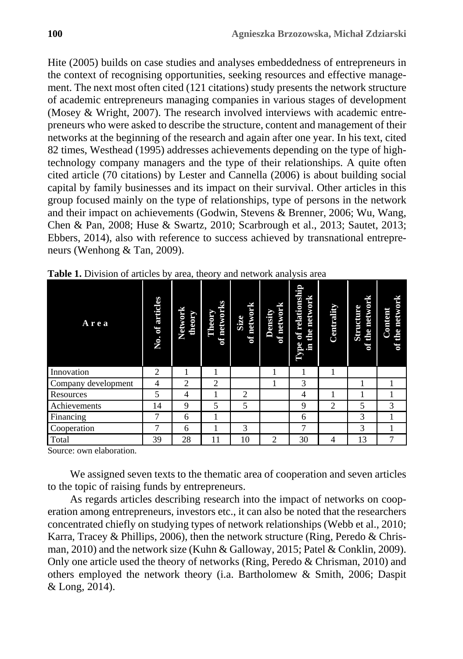Hite (2005) builds on case studies and analyses embeddedness of entrepreneurs in the context of recognising opportunities, seeking resources and effective management. The next most often cited (121 citations) study presents the network structure of academic entrepreneurs managing companies in various stages of development (Mosey & Wright, 2007). The research involved interviews with academic entrepreneurs who were asked to describe the structure, content and management of their networks at the beginning of the research and again after one year. In his text, cited 82 times, Westhead (1995) addresses achievements depending on the type of hightechnology company managers and the type of their relationships. A quite often cited article (70 citations) by Lester and Cannella (2006) is about building social capital by family businesses and its impact on their survival. Other articles in this group focused mainly on the type of relationships, type of persons in the network and their impact on achievements (Godwin, Stevens & Brenner, 2006; Wu, Wang, Chen & Pan, 2008; Huse & Swartz, 2010; Scarbrough et al., 2013; Sautet, 2013; Ebbers, 2014), also with reference to success achieved by transnational entrepreneurs (Wenhong & Tan, 2009).

| Area                | No. of articles | Network<br>theory | of networks<br>Theory | of network<br><b>Size</b> | of network<br>Density | Type of relationship<br>the network<br>Ē | Centrality     | network<br><b>Structure</b><br>the<br>$\mathfrak{b}$ | the network<br>Content<br>ទ |
|---------------------|-----------------|-------------------|-----------------------|---------------------------|-----------------------|------------------------------------------|----------------|------------------------------------------------------|-----------------------------|
| Innovation          | $\overline{c}$  |                   |                       |                           | ш                     |                                          |                |                                                      |                             |
| Company development | 4               | 2                 | 2                     |                           |                       | 3                                        |                |                                                      |                             |
| Resources           | 5               | 4                 |                       | 2                         |                       | 4                                        |                |                                                      |                             |
| Achievements        | 14              | 9                 | 5                     | 5                         |                       | 9                                        | $\overline{c}$ | 5                                                    | 3                           |
| Financing           |                 | 6                 |                       |                           |                       | 6                                        |                | 3                                                    |                             |
| Cooperation         |                 | 6                 |                       | 3                         |                       | 7                                        |                | 3                                                    |                             |
| Total               | 39              | 28                | 11                    | 10                        | $\overline{2}$        | 30                                       | 4              | 13                                                   | 7                           |

**Table 1.** Division of articles by area, theory and network analysis area

Source: own elaboration.

We assigned seven texts to the thematic area of cooperation and seven articles to the topic of raising funds by entrepreneurs.

As regards articles describing research into the impact of networks on cooperation among entrepreneurs, investors etc., it can also be noted that the researchers concentrated chiefly on studying types of network relationships (Webb et al., 2010; Karra, Tracey & Phillips, 2006), then the network structure (Ring, Peredo & Chrisman, 2010) and the network size (Kuhn & Galloway, 2015; Patel & Conklin, 2009). Only one article used the theory of networks (Ring, Peredo  $&$  Chrisman, 2010) and others employed the network theory (i.a. Bartholomew & Smith, 2006; Daspit & Long, 2014).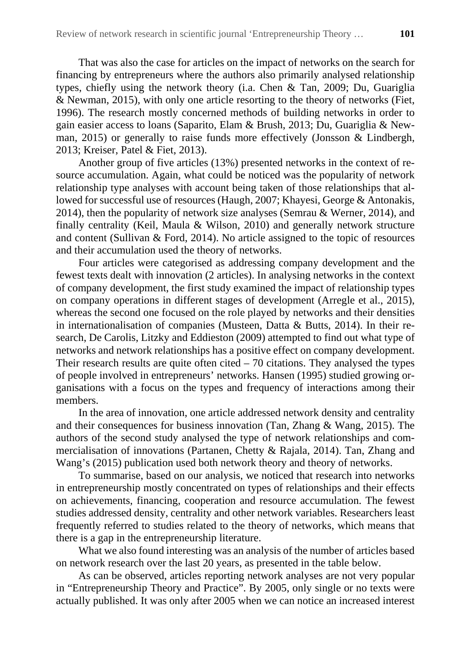That was also the case for articles on the impact of networks on the search for financing by entrepreneurs where the authors also primarily analysed relationship types, chiefly using the network theory (i.a. Chen & Tan, 2009; Du, Guariglia & Newman, 2015), with only one article resorting to the theory of networks (Fiet, 1996). The research mostly concerned methods of building networks in order to gain easier access to loans (Saparito, Elam & Brush, 2013; Du, Guariglia & Newman, 2015) or generally to raise funds more effectively (Jonsson & Lindbergh, 2013; Kreiser, Patel & Fiet, 2013).

Another group of five articles (13%) presented networks in the context of resource accumulation. Again, what could be noticed was the popularity of network relationship type analyses with account being taken of those relationships that allowed for successful use of resources (Haugh, 2007; Khayesi, George & Antonakis, 2014), then the popularity of network size analyses (Semrau & Werner, 2014), and finally centrality (Keil, Maula & Wilson, 2010) and generally network structure and content (Sullivan & Ford, 2014). No article assigned to the topic of resources and their accumulation used the theory of networks.

Four articles were categorised as addressing company development and the fewest texts dealt with innovation (2 articles). In analysing networks in the context of company development, the first study examined the impact of relationship types on company operations in different stages of development (Arregle et al., 2015), whereas the second one focused on the role played by networks and their densities in internationalisation of companies (Musteen, Datta & Butts, 2014). In their research, De Carolis, Litzky and Eddieston (2009) attempted to find out what type of networks and network relationships has a positive effect on company development. Their research results are quite often cited  $-70$  citations. They analysed the types of people involved in entrepreneurs' networks. Hansen (1995) studied growing organisations with a focus on the types and frequency of interactions among their members.

In the area of innovation, one article addressed network density and centrality and their consequences for business innovation (Tan, Zhang & Wang, 2015). The authors of the second study analysed the type of network relationships and commercialisation of innovations (Partanen, Chetty & Rajala, 2014). Tan, Zhang and Wang's (2015) publication used both network theory and theory of networks.

To summarise, based on our analysis, we noticed that research into networks in entrepreneurship mostly concentrated on types of relationships and their effects on achievements, financing, cooperation and resource accumulation. The fewest studies addressed density, centrality and other network variables. Researchers least frequently referred to studies related to the theory of networks, which means that there is a gap in the entrepreneurship literature.

What we also found interesting was an analysis of the number of articles based on network research over the last 20 years, as presented in the table below.

As can be observed, articles reporting network analyses are not very popular in "Entrepreneurship Theory and Practice". By 2005, only single or no texts were actually published. It was only after 2005 when we can notice an increased interest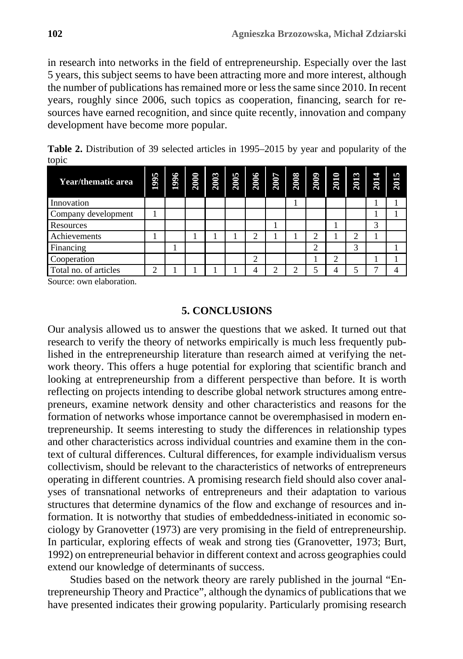in research into networks in the field of entrepreneurship. Especially over the last 5 years, this subject seems to have been attracting more and more interest, although the number of publications has remained more or less the same since 2010. In recent years, roughly since 2006, such topics as cooperation, financing, search for resources have earned recognition, and since quite recently, innovation and company development have become more popular.

**Table 2.** Distribution of 39 selected articles in 1995–2015 by year and popularity of the topic

| Year/thematic area    | 1995 | 1996 | 2000 | 2003 | 2005 | 2006 | 2007 | 2008 | 2009 | 2010 | 2013 | 2014 | 2015 |
|-----------------------|------|------|------|------|------|------|------|------|------|------|------|------|------|
| Innovation            |      |      |      |      |      |      |      |      |      |      |      |      |      |
| Company development   |      |      |      |      |      |      |      |      |      |      |      |      |      |
| Resources             |      |      |      |      |      |      |      |      |      |      |      | 3    |      |
| Achievements          |      |      |      |      |      |      |      |      |      |      | ◠    |      |      |
| Financing             |      |      |      |      |      |      |      |      | ↑    |      | 3    |      |      |
| Cooperation           |      |      |      |      |      | ↑    |      |      |      | ◠    |      |      |      |
| Total no. of articles | ◠    |      |      |      |      |      | ◠    |      |      |      |      |      |      |

Source: own elaboration.

#### **5. CONCLUSIONS**

Our analysis allowed us to answer the questions that we asked. It turned out that research to verify the theory of networks empirically is much less frequently published in the entrepreneurship literature than research aimed at verifying the network theory. This offers a huge potential for exploring that scientific branch and looking at entrepreneurship from a different perspective than before. It is worth reflecting on projects intending to describe global network structures among entrepreneurs, examine network density and other characteristics and reasons for the formation of networks whose importance cannot be overemphasised in modern entrepreneurship. It seems interesting to study the differences in relationship types and other characteristics across individual countries and examine them in the context of cultural differences. Cultural differences, for example individualism versus collectivism, should be relevant to the characteristics of networks of entrepreneurs operating in different countries. A promising research field should also cover analyses of transnational networks of entrepreneurs and their adaptation to various structures that determine dynamics of the flow and exchange of resources and information. It is notworthy that studies of embeddedness-initiated in economic sociology by Granovetter (1973) are very promising in the field of entrepreneurship. In particular, exploring effects of weak and strong ties (Granovetter, 1973; Burt, 1992) on entrepreneurial behavior in different context and across geographies could extend our knowledge of determinants of success.

Studies based on the network theory are rarely published in the journal "Entrepreneurship Theory and Practice", although the dynamics of publications that we have presented indicates their growing popularity. Particularly promising research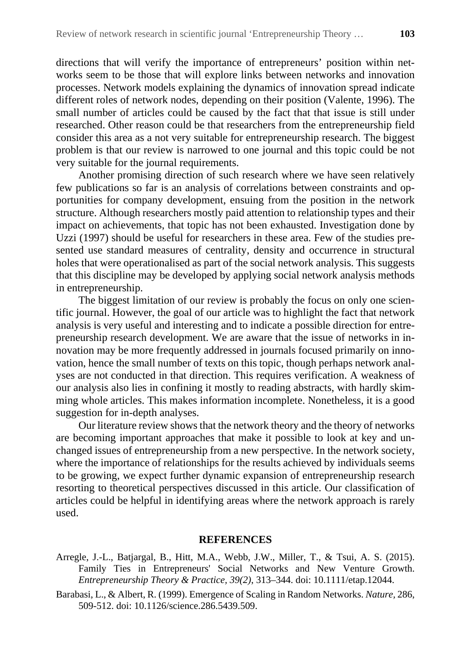directions that will verify the importance of entrepreneurs' position within networks seem to be those that will explore links between networks and innovation processes. Network models explaining the dynamics of innovation spread indicate different roles of network nodes, depending on their position (Valente, 1996). The small number of articles could be caused by the fact that that issue is still under researched. Other reason could be that researchers from the entrepreneurship field consider this area as a not very suitable for entrepreneurship research. The biggest problem is that our review is narrowed to one journal and this topic could be not very suitable for the journal requirements.

Another promising direction of such research where we have seen relatively few publications so far is an analysis of correlations between constraints and opportunities for company development, ensuing from the position in the network structure. Although researchers mostly paid attention to relationship types and their impact on achievements, that topic has not been exhausted. Investigation done by Uzzi (1997) should be useful for researchers in these area. Few of the studies presented use standard measures of centrality, density and occurrence in structural holes that were operationalised as part of the social network analysis. This suggests that this discipline may be developed by applying social network analysis methods in entrepreneurship.

The biggest limitation of our review is probably the focus on only one scientific journal. However, the goal of our article was to highlight the fact that network analysis is very useful and interesting and to indicate a possible direction for entrepreneurship research development. We are aware that the issue of networks in innovation may be more frequently addressed in journals focused primarily on innovation, hence the small number of texts on this topic, though perhaps network analyses are not conducted in that direction. This requires verification. A weakness of our analysis also lies in confining it mostly to reading abstracts, with hardly skimming whole articles. This makes information incomplete. Nonetheless, it is a good suggestion for in-depth analyses.

Our literature review shows that the network theory and the theory of networks are becoming important approaches that make it possible to look at key and unchanged issues of entrepreneurship from a new perspective. In the network society, where the importance of relationships for the results achieved by individuals seems to be growing, we expect further dynamic expansion of entrepreneurship research resorting to theoretical perspectives discussed in this article. Our classification of articles could be helpful in identifying areas where the network approach is rarely used.

#### **REFERENCES**

- Arregle, J.-L., Batjargal, B., Hitt, M.A., Webb, J.W., Miller, T., & Tsui, A. S. (2015). Family Ties in Entrepreneurs' Social Networks and New Venture Growth. *Entrepreneurship Theory & Practice, 39(2)*, 313–344. doi: 10.1111/etap.12044.
- Barabasi, L., & Albert, R. (1999). Emergence of Scaling in Random Networks. *Nature,* 286, 509-512. doi: 10.1126/science.286.5439.509.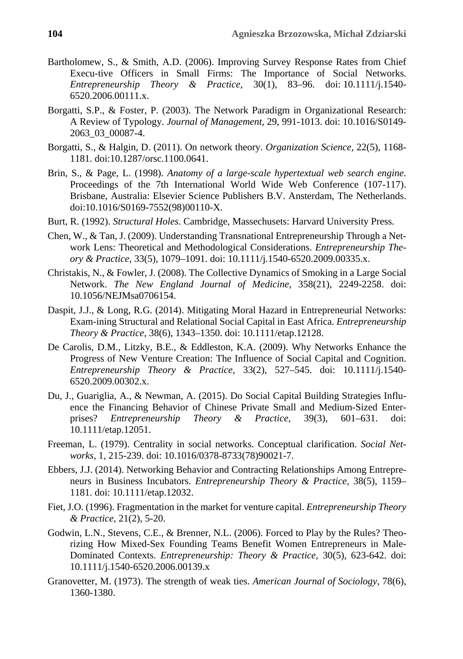- Bartholomew, S., & Smith, A.D. (2006). Improving Survey Response Rates from Chief Execu-tive Officers in Small Firms: The Importance of Social Networks*. Entrepreneurship Theory & Practice,* 30(1), 83–96. doi: 10.1111/j.1540- 6520.2006.00111.x.
- Borgatti, S.P., & Foster, P. (2003). The Network Paradigm in Organizational Research: A Review of Typology. *Journal of Management*, 29, 991-1013. doi: 10.1016/S0149- 2063\_03\_00087-4.
- Borgatti, S., & Halgin, D. (2011). On network theory. *Organization Science,* 22(5), 1168- 1181. doi:10.1287/orsc.1100.0641.
- Brin, S., & Page, L. (1998). *Anatomy of a large-scale hypertextual web search engine*. Proceedings of the 7th International World Wide Web Conference (107-117). Brisbane, Australia: Elsevier Science Publishers B.V. Ansterdam, The Netherlands. doi:10.1016/S0169-7552(98)00110-X.
- Burt, R. (1992). *Structural Holes*. Cambridge, Massechusets: Harvard University Press.
- Chen, W., & Tan, J. (2009). Understanding Transnational Entrepreneurship Through a Network Lens: Theoretical and Methodological Considerations. *Entrepreneurship Theory & Practice,* 33(5), 1079–1091. doi: 10.1111/j.1540-6520.2009.00335.x.
- Christakis, N., & Fowler, J. (2008). The Collective Dynamics of Smoking in a Large Social Network. *The New England Journal of Medicine,* 358(21), 2249-2258. doi: 10.1056/NEJMsa0706154.
- Daspit, J.J., & Long, R.G. (2014). Mitigating Moral Hazard in Entrepreneurial Networks: Exam-ining Structural and Relational Social Capital in East Africa. *Entrepreneurship Theory & Practice,* 38(6), 1343–1350. doi: 10.1111/etap.12128.
- De Carolis, D.M., Litzky, B.E., & Eddleston, K.A. (2009). Why Networks Enhance the Progress of New Venture Creation: The Influence of Social Capital and Cognition. *Entrepreneurship Theory & Practice,* 33(2), 527–545. doi: 10.1111/j.1540- 6520.2009.00302.x.
- Du, J., Guariglia, A., & Newman, A. (2015). Do Social Capital Building Strategies Influence the Financing Behavior of Chinese Private Small and Medium-Sized Enterprises? *Entrepreneurship Theory & Practice,* 39(3), 601–631. doi: 10.1111/etap.12051.
- Freeman, L. (1979). Centrality in social networks. Conceptual clarification. *Social Networks,* 1*,* 215-239. doi: 10.1016/0378-8733(78)90021-7.
- Ebbers, J.J. (2014). Networking Behavior and Contracting Relationships Among Entrepreneurs in Business Incubators. *Entrepreneurship Theory & Practice,* 38(5), 1159– 1181. doi: 10.1111/etap.12032.
- Fiet, J.O. (1996). Fragmentation in the market for venture capital. *Entrepreneurship Theory & Practice,* 21(2), 5-20.
- Godwin, L.N., Stevens, C.E., & Brenner, N.L. (2006). Forced to Play by the Rules? Theorizing How Mixed-Sex Founding Teams Benefit Women Entrepreneurs in Male-Dominated Contexts. *Entrepreneurship: Theory & Practice,* 30(5), 623-642. doi: 10.1111/j.1540-6520.2006.00139.x
- Granovetter, M. (1973). The strength of weak ties. *American Journal of Sociology,* 78(6), 1360-1380.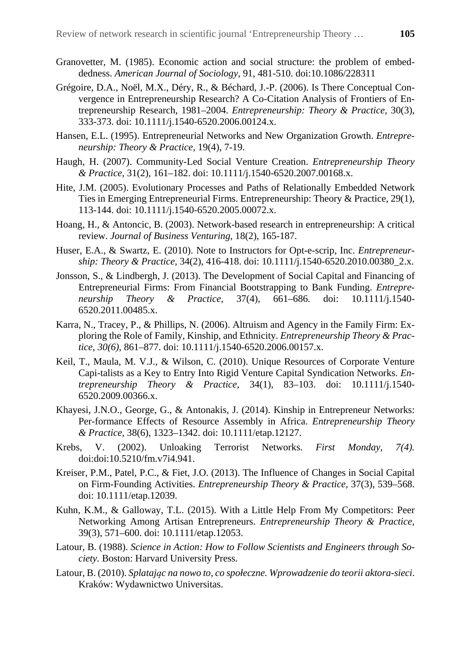- Granovetter, M. (1985). Economic action and social structure: the problem of embeddedness. *American Journal of Sociology,* 91, 481-510. doi:10.1086/228311
- Grégoire, D.A., Noël, M.X., Déry, R., & Béchard, J.-P. (2006). Is There Conceptual Convergence in Entrepreneurship Research? A Co-Citation Analysis of Frontiers of Entrepreneurship Research, 1981–2004. *Entrepreneurship: Theory & Practice,* 30(3), 333-373. doi: 10.1111/j.1540-6520.2006.00124.x.
- Hansen, E.L. (1995). Entrepreneurial Networks and New Organization Growth. *Entrepreneurship: Theory & Practice,* 19(4), 7-19.
- Haugh, H. (2007). Community-Led Social Venture Creation. *Entrepreneurship Theory & Practice,* 31(2), 161–182. doi: 10.1111/j.1540-6520.2007.00168.x.
- Hite, J.M. (2005). Evolutionary Processes and Paths of Relationally Embedded Network Ties in Emerging Entrepreneurial Firms. Entrepreneurship: Theory & Practice, 29(1), 113-144. doi: 10.1111/j.1540-6520.2005.00072.x.
- Hoang, H., & Antoncic, B. (2003). Network-based research in entrepreneurship: A critical review. *Journal of Business Venturing*, 18(2), 165-187.
- Huser, E.A., & Swartz, E. (2010). Note to Instructors for Opt-e-scrip, Inc. *Entrepreneurship: Theory & Practice,* 34(2), 416-418. doi: 10.1111/j.1540-6520.2010.00380\_2.x.
- Jonsson, S., & Lindbergh, J. (2013). The Development of Social Capital and Financing of Entrepreneurial Firms: From Financial Bootstrapping to Bank Funding. *Entrepreneurship Theory & Practice,* 37(4), 661–686. doi: 10.1111/j.1540- 6520.2011.00485.x.
- Karra, N., Tracey, P., & Phillips, N. (2006). Altruism and Agency in the Family Firm: Exploring the Role of Family, Kinship, and Ethnicity. *Entrepreneurship Theory & Practice, 30(6),* 861–877. doi: 10.1111/j.1540-6520.2006.00157.x.
- Keil, T., Maula, M. V.J., & Wilson, C. (2010). Unique Resources of Corporate Venture Capi-talists as a Key to Entry Into Rigid Venture Capital Syndication Networks. *Entrepreneurship Theory & Practice,* 34(1), 83–103. doi: 10.1111/j.1540- 6520.2009.00366.x.
- Khayesi, J.N.O., George, G., & Antonakis, J. (2014). Kinship in Entrepreneur Networks: Per-formance Effects of Resource Assembly in Africa. *Entrepreneurship Theory & Practice,* 38(6), 1323–1342. doi: 10.1111/etap.12127.
- Krebs, V. (2002). Unloaking Terrorist Networks. *First Monday, 7(4).* doi:doi:10.5210/fm.v7i4.941.
- Kreiser, P.M., Patel, P.C., & Fiet, J.O. (2013). The Influence of Changes in Social Capital on Firm-Founding Activities. *Entrepreneurship Theory & Practice,* 37(3), 539–568. doi: 10.1111/etap.12039.
- Kuhn, K.M., & Galloway, T.L. (2015). With a Little Help From My Competitors: Peer Networking Among Artisan Entrepreneurs. *Entrepreneurship Theory & Practice,*  39(3), 571–600. doi: 10.1111/etap.12053.
- Latour, B. (1988). *Science in Action: How to Follow Scientists and Engineers through Society.* Boston: Harvard University Press.
- Latour, B. (2010). *Splatając na nowo to, co społeczne. Wprowadzenie do teorii aktora-sieci*. Kraków: Wydawnictwo Universitas.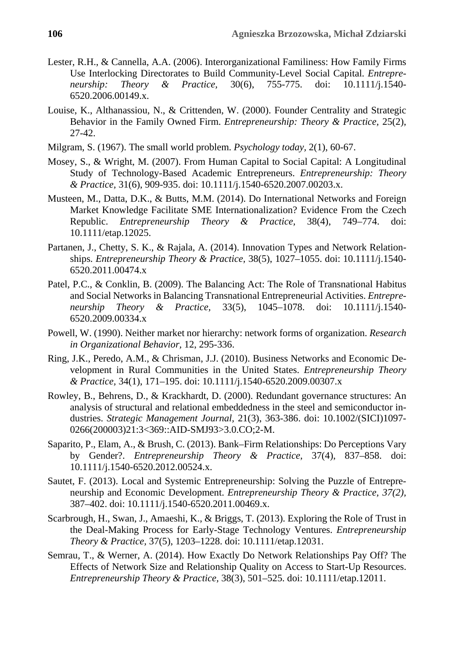- Lester, R.H., & Cannella, A.A. (2006). Interorganizational Familiness: How Family Firms Use Interlocking Directorates to Build Community-Level Social Capital. *Entrepreneurship: Theory & Practice,* 30(6), 755-775. doi: 10.1111/j.1540- 6520.2006.00149.x.
- Louise, K., Althanassiou, N., & Crittenden, W. (2000). Founder Centrality and Strategic Behavior in the Family Owned Firm. *Entrepreneurship: Theory & Practice,* 25(2), 27-42.
- Milgram, S. (1967). The small world problem. *Psychology today,* 2(1), 60-67.
- Mosey, S., & Wright, M. (2007). From Human Capital to Social Capital: A Longitudinal Study of Technology-Based Academic Entrepreneurs. *Entrepreneurship: Theory & Practice,* 31(6), 909-935. doi: 10.1111/j.1540-6520.2007.00203.x.
- Musteen, M., Datta, D.K., & Butts, M.M. (2014). Do International Networks and Foreign Market Knowledge Facilitate SME Internationalization? Evidence From the Czech Republic. *Entrepreneurship Theory & Practice,* 38(4), 749–774. doi: 10.1111/etap.12025.
- Partanen, J., Chetty, S. K., & Rajala, A. (2014). Innovation Types and Network Relationships. *Entrepreneurship Theory & Practice,* 38(5), 1027–1055. doi: 10.1111/j.1540- 6520.2011.00474.x
- Patel, P.C., & Conklin, B. (2009). The Balancing Act: The Role of Transnational Habitus and Social Networks in Balancing Transnational Entrepreneurial Activities. *Entrepreneurship Theory & Practice,* 33(5), 1045–1078. doi: 10.1111/j.1540- 6520.2009.00334.x
- Powell, W. (1990). Neither market nor hierarchy: network forms of organization. *Research in Organizational Behavior,* 12, 295-336.
- Ring, J.K., Peredo, A.M., & Chrisman, J.J. (2010). Business Networks and Economic Development in Rural Communities in the United States. *Entrepreneurship Theory & Practice,* 34(1), 171–195. doi: 10.1111/j.1540-6520.2009.00307.x
- Rowley, B., Behrens, D., & Krackhardt, D. (2000). Redundant governance structures: An analysis of structural and relational embeddedness in the steel and semiconductor industries. *Strategic Management Journal,* 21(3), 363-386. doi: 10.1002/(SICI)1097- 0266(200003)21:3<369::AID-SMJ93>3.0.CO;2-M.
- Saparito, P., Elam, A., & Brush, C. (2013). Bank–Firm Relationships: Do Perceptions Vary by Gender?. *Entrepreneurship Theory & Practice,* 37(4), 837–858. doi: 10.1111/j.1540-6520.2012.00524.x.
- Sautet, F. (2013). Local and Systemic Entrepreneurship: Solving the Puzzle of Entrepreneurship and Economic Development. *Entrepreneurship Theory & Practice, 37(2),* 387–402. doi: 10.1111/j.1540-6520.2011.00469.x.
- Scarbrough, H., Swan, J., Amaeshi, K., & Briggs, T. (2013). Exploring the Role of Trust in the Deal-Making Process for Early-Stage Technology Ventures. *Entrepreneurship Theory & Practice,* 37(5), 1203–1228. doi: 10.1111/etap.12031.
- Semrau, T., & Werner, A. (2014). How Exactly Do Network Relationships Pay Off? The Effects of Network Size and Relationship Quality on Access to Start-Up Resources. *Entrepreneurship Theory & Practice,* 38(3), 501–525. doi: 10.1111/etap.12011.